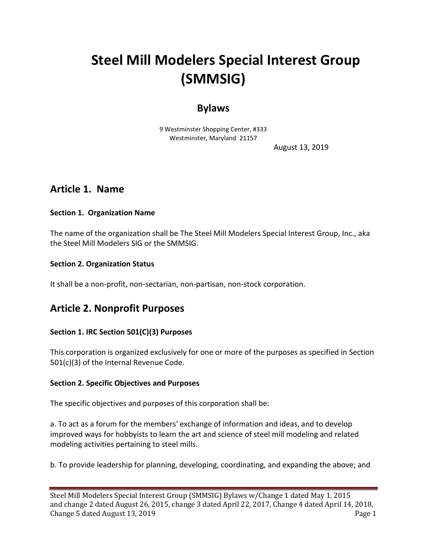# **Steel Mill Modelers Special Interest Group (SMMSIG)**

# **Bylaws**

9 Westminster Shopping Center, #333 Westminster, Maryland 21157

August 13, 2019

# **Article 1. Name**

#### **Section 1. Organization Name**

The name of the organization shall be The Steel Mill Modelers Special Interest Group, Inc., aka the Steel Mill Modelers SIG or the SMMSIG.

#### **Section 2. Organization Status**

It shall be a non-profit, non-sectarian, non-partisan, non-stock corporation.

# **Article 2. Nonprofit Purposes**

### **Section 1. IRC Section 501(C)(3) Purposes**

This corporation is organized exclusively for one or more of the purposes as specified in Section 501(c)(3) of the Internal Revenue Code.

#### **Section 2. Specific Objectives and Purposes**

The specific objectives and purposes of this corporation shall be:

a. To act as a forum for the members' exchange of information and ideas, and to develop improved ways for hobbyists to learn the art and science of steel mill modeling and related modeling activities pertaining to steel mills.

b. To provide leadership for planning, developing, coordinating, and expanding the above; and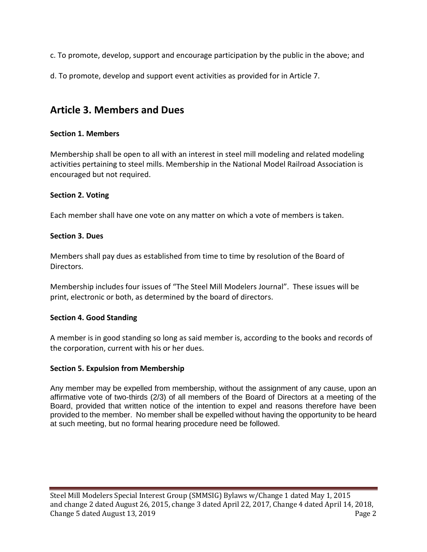c. To promote, develop, support and encourage participation by the public in the above; and

d. To promote, develop and support event activities as provided for in Article 7.

# **Article 3. Members and Dues**

### **Section 1. Members**

Membership shall be open to all with an interest in steel mill modeling and related modeling activities pertaining to steel mills. Membership in the National Model Railroad Association is encouraged but not required.

### **Section 2. Voting**

Each member shall have one vote on any matter on which a vote of members is taken.

#### **Section 3. Dues**

Members shall pay dues as established from time to time by resolution of the Board of Directors.

Membership includes four issues of "The Steel Mill Modelers Journal". These issues will be print, electronic or both, as determined by the board of directors.

### **Section 4. Good Standing**

A member is in good standing so long as said member is, according to the books and records of the corporation, current with his or her dues.

### **Section 5. Expulsion from Membership**

Any member may be expelled from membership, without the assignment of any cause, upon an affirmative vote of two-thirds (2/3) of all members of the Board of Directors at a meeting of the Board, provided that written notice of the intention to expel and reasons therefore have been provided to the member. No member shall be expelled without having the opportunity to be heard at such meeting, but no formal hearing procedure need be followed.

Steel Mill Modelers Special Interest Group (SMMSIG) Bylaws w/Change 1 dated May 1, 2015 and change 2 dated August 26, 2015, change 3 dated April 22, 2017, Change 4 dated April 14, 2018, Change 5 dated August 13, 2019 Page 2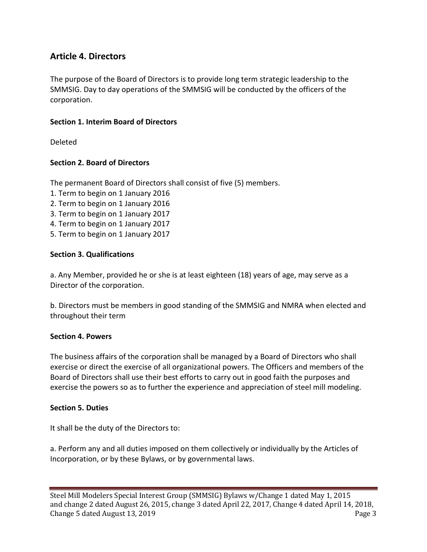# **Article 4. Directors**

The purpose of the Board of Directors is to provide long term strategic leadership to the SMMSIG. Day to day operations of the SMMSIG will be conducted by the officers of the corporation.

#### **Section 1. Interim Board of Directors**

Deleted

#### **Section 2. Board of Directors**

The permanent Board of Directors shall consist of five (5) members.

- 1. Term to begin on 1 January 2016
- 2. Term to begin on 1 January 2016
- 3. Term to begin on 1 January 2017
- 4. Term to begin on 1 January 2017
- 5. Term to begin on 1 January 2017

#### **Section 3. Qualifications**

a. Any Member, provided he or she is at least eighteen (18) years of age, may serve as a Director of the corporation.

b. Directors must be members in good standing of the SMMSIG and NMRA when elected and throughout their term

#### **Section 4. Powers**

The business affairs of the corporation shall be managed by a Board of Directors who shall exercise or direct the exercise of all organizational powers. The Officers and members of the Board of Directors shall use their best efforts to carry out in good faith the purposes and exercise the powers so as to further the experience and appreciation of steel mill modeling.

#### **Section 5. Duties**

It shall be the duty of the Directors to:

a. Perform any and all duties imposed on them collectively or individually by the Articles of Incorporation, or by these Bylaws, or by governmental laws.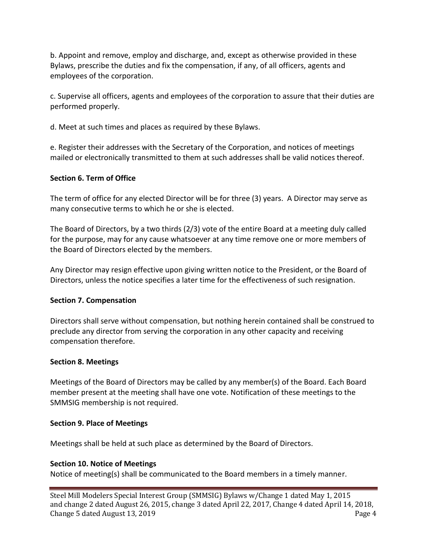b. Appoint and remove, employ and discharge, and, except as otherwise provided in these Bylaws, prescribe the duties and fix the compensation, if any, of all officers, agents and employees of the corporation.

c. Supervise all officers, agents and employees of the corporation to assure that their duties are performed properly.

d. Meet at such times and places as required by these Bylaws.

e. Register their addresses with the Secretary of the Corporation, and notices of meetings mailed or electronically transmitted to them at such addresses shall be valid notices thereof.

### **Section 6. Term of Office**

The term of office for any elected Director will be for three (3) years. A Director may serve as many consecutive terms to which he or she is elected.

The Board of Directors, by a two thirds (2/3) vote of the entire Board at a meeting duly called for the purpose, may for any cause whatsoever at any time remove one or more members of the Board of Directors elected by the members.

Any Director may resign effective upon giving written notice to the President, or the Board of Directors, unless the notice specifies a later time for the effectiveness of such resignation.

### **Section 7. Compensation**

Directors shall serve without compensation, but nothing herein contained shall be construed to preclude any director from serving the corporation in any other capacity and receiving compensation therefore.

### **Section 8. Meetings**

Meetings of the Board of Directors may be called by any member(s) of the Board. Each Board member present at the meeting shall have one vote. Notification of these meetings to the SMMSIG membership is not required.

### **Section 9. Place of Meetings**

Meetings shall be held at such place as determined by the Board of Directors.

### **Section 10. Notice of Meetings**

Notice of meeting(s) shall be communicated to the Board members in a timely manner.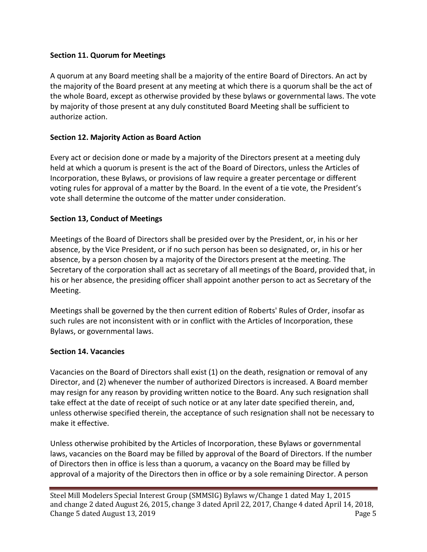### **Section 11. Quorum for Meetings**

A quorum at any Board meeting shall be a majority of the entire Board of Directors. An act by the majority of the Board present at any meeting at which there is a quorum shall be the act of the whole Board, except as otherwise provided by these bylaws or governmental laws. The vote by majority of those present at any duly constituted Board Meeting shall be sufficient to authorize action.

### **Section 12. Majority Action as Board Action**

Every act or decision done or made by a majority of the Directors present at a meeting duly held at which a quorum is present is the act of the Board of Directors, unless the Articles of Incorporation, these Bylaws, or provisions of law require a greater percentage or different voting rules for approval of a matter by the Board. In the event of a tie vote, the President's vote shall determine the outcome of the matter under consideration.

### **Section 13, Conduct of Meetings**

Meetings of the Board of Directors shall be presided over by the President, or, in his or her absence, by the Vice President, or if no such person has been so designated, or, in his or her absence, by a person chosen by a majority of the Directors present at the meeting. The Secretary of the corporation shall act as secretary of all meetings of the Board, provided that, in his or her absence, the presiding officer shall appoint another person to act as Secretary of the Meeting.

Meetings shall be governed by the then current edition of Roberts' Rules of Order, insofar as such rules are not inconsistent with or in conflict with the Articles of Incorporation, these Bylaws, or governmental laws.

### **Section 14. Vacancies**

Vacancies on the Board of Directors shall exist (1) on the death, resignation or removal of any Director, and (2) whenever the number of authorized Directors is increased. A Board member may resign for any reason by providing written notice to the Board. Any such resignation shall take effect at the date of receipt of such notice or at any later date specified therein, and, unless otherwise specified therein, the acceptance of such resignation shall not be necessary to make it effective.

Unless otherwise prohibited by the Articles of Incorporation, these Bylaws or governmental laws, vacancies on the Board may be filled by approval of the Board of Directors. If the number of Directors then in office is less than a quorum, a vacancy on the Board may be filled by approval of a majority of the Directors then in office or by a sole remaining Director. A person

Steel Mill Modelers Special Interest Group (SMMSIG) Bylaws w/Change 1 dated May 1, 2015 and change 2 dated August 26, 2015, change 3 dated April 22, 2017, Change 4 dated April 14, 2018, Change 5 dated August 13, 2019 Page 5 and the state of the state of the state of the state of the state of the state of the state of the state of the state of the state of the state of the state of the state of the state o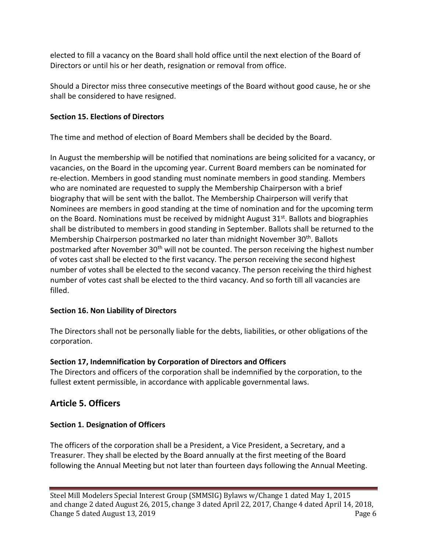elected to fill a vacancy on the Board shall hold office until the next election of the Board of Directors or until his or her death, resignation or removal from office.

Should a Director miss three consecutive meetings of the Board without good cause, he or she shall be considered to have resigned.

### **Section 15. Elections of Directors**

The time and method of election of Board Members shall be decided by the Board.

In August the membership will be notified that nominations are being solicited for a vacancy, or vacancies, on the Board in the upcoming year. Current Board members can be nominated for re-election. Members in good standing must nominate members in good standing. Members who are nominated are requested to supply the Membership Chairperson with a brief biography that will be sent with the ballot. The Membership Chairperson will verify that Nominees are members in good standing at the time of nomination and for the upcoming term on the Board. Nominations must be received by midnight August 31<sup>st</sup>. Ballots and biographies shall be distributed to members in good standing in September. Ballots shall be returned to the Membership Chairperson postmarked no later than midnight November 30<sup>th</sup>. Ballots postmarked after November 30<sup>th</sup> will not be counted. The person receiving the highest number of votes cast shall be elected to the first vacancy. The person receiving the second highest number of votes shall be elected to the second vacancy. The person receiving the third highest number of votes cast shall be elected to the third vacancy. And so forth till all vacancies are filled.

# **Section 16. Non Liability of Directors**

The Directors shall not be personally liable for the debts, liabilities, or other obligations of the corporation.

# **Section 17, Indemnification by Corporation of Directors and Officers**

The Directors and officers of the corporation shall be indemnified by the corporation, to the fullest extent permissible, in accordance with applicable governmental laws.

# **Article 5. Officers**

# **Section 1. Designation of Officers**

The officers of the corporation shall be a President, a Vice President, a Secretary, and a Treasurer. They shall be elected by the Board annually at the first meeting of the Board following the Annual Meeting but not later than fourteen days following the Annual Meeting.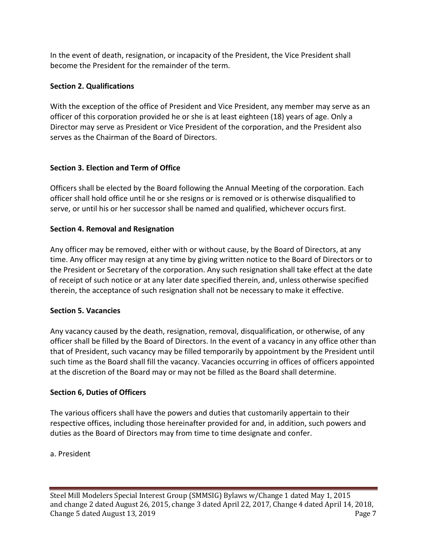In the event of death, resignation, or incapacity of the President, the Vice President shall become the President for the remainder of the term.

### **Section 2. Qualifications**

With the exception of the office of President and Vice President, any member may serve as an officer of this corporation provided he or she is at least eighteen (18) years of age. Only a Director may serve as President or Vice President of the corporation, and the President also serves as the Chairman of the Board of Directors.

### **Section 3. Election and Term of Office**

Officers shall be elected by the Board following the Annual Meeting of the corporation. Each officer shall hold office until he or she resigns or is removed or is otherwise disqualified to serve, or until his or her successor shall be named and qualified, whichever occurs first.

### **Section 4. Removal and Resignation**

Any officer may be removed, either with or without cause, by the Board of Directors, at any time. Any officer may resign at any time by giving written notice to the Board of Directors or to the President or Secretary of the corporation. Any such resignation shall take effect at the date of receipt of such notice or at any later date specified therein, and, unless otherwise specified therein, the acceptance of such resignation shall not be necessary to make it effective.

### **Section 5. Vacancies**

Any vacancy caused by the death, resignation, removal, disqualification, or otherwise, of any officer shall be filled by the Board of Directors. In the event of a vacancy in any office other than that of President, such vacancy may be filled temporarily by appointment by the President until such time as the Board shall fill the vacancy. Vacancies occurring in offices of officers appointed at the discretion of the Board may or may not be filled as the Board shall determine.

### **Section 6, Duties of Officers**

The various officers shall have the powers and duties that customarily appertain to their respective offices, including those hereinafter provided for and, in addition, such powers and duties as the Board of Directors may from time to time designate and confer.

### a. President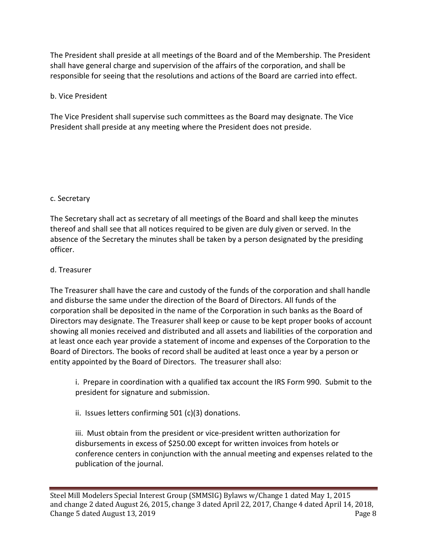The President shall preside at all meetings of the Board and of the Membership. The President shall have general charge and supervision of the affairs of the corporation, and shall be responsible for seeing that the resolutions and actions of the Board are carried into effect.

### b. Vice President

The Vice President shall supervise such committees as the Board may designate. The Vice President shall preside at any meeting where the President does not preside.

### c. Secretary

The Secretary shall act as secretary of all meetings of the Board and shall keep the minutes thereof and shall see that all notices required to be given are duly given or served. In the absence of the Secretary the minutes shall be taken by a person designated by the presiding officer.

### d. Treasurer

The Treasurer shall have the care and custody of the funds of the corporation and shall handle and disburse the same under the direction of the Board of Directors. All funds of the corporation shall be deposited in the name of the Corporation in such banks as the Board of Directors may designate. The Treasurer shall keep or cause to be kept proper books of account showing all monies received and distributed and all assets and liabilities of the corporation and at least once each year provide a statement of income and expenses of the Corporation to the Board of Directors. The books of record shall be audited at least once a year by a person or entity appointed by the Board of Directors. The treasurer shall also:

i. Prepare in coordination with a qualified tax account the IRS Form 990. Submit to the president for signature and submission.

ii. Issues letters confirming 501 (c)(3) donations.

iii. Must obtain from the president or vice-president written authorization for disbursements in excess of \$250.00 except for written invoices from hotels or conference centers in conjunction with the annual meeting and expenses related to the publication of the journal.

Steel Mill Modelers Special Interest Group (SMMSIG) Bylaws w/Change 1 dated May 1, 2015 and change 2 dated August 26, 2015, change 3 dated April 22, 2017, Change 4 dated April 14, 2018, Change 5 dated August 13, 2019 **Page 8**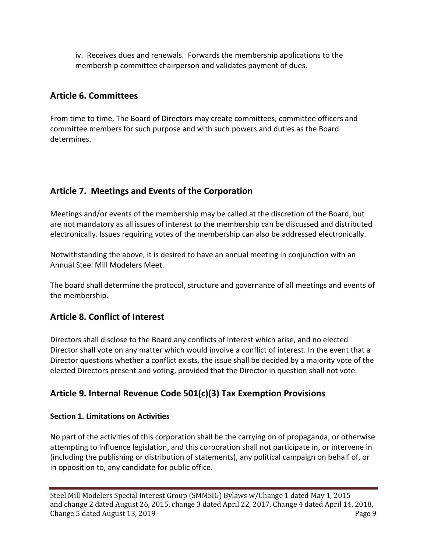iv. Receives dues and renewals. Forwards the membership applications to the membership committee chairperson and validates payment of dues.

# **Article 6. Committees**

From time to time, The Board of Directors may create committees, committee officers and committee members for such purpose and with such powers and duties as the Board determines.

# **Article 7. Meetings and Events of the Corporation**

Meetings and/or events of the membership may be called at the discretion of the Board, but are not mandatory as all issues of interest to the membership can be discussed and distributed electronically. Issues requiring votes of the membership can also be addressed electronically.

Notwithstanding the above, it is desired to have an annual meeting in conjunction with an Annual Steel Mill Modelers Meet.

The board shall determine the protocol, structure and governance of all meetings and events of the membership.

# **Article 8. Conflict of Interest**

Directors shall disclose to the Board any conflicts of interest which arise, and no elected Director shall vote on any matter which would involve a conflict of interest. In the event that a Director questions whether a conflict exists, the issue shall be decided by a majority vote of the elected Directors present and voting, provided that the Director in question shall not vote.

# **Article 9. Internal Revenue Code 501(c)(3) Tax Exemption Provisions**

### **Section 1. Limitations on Activities**

No part of the activities of this corporation shall be the carrying on of propaganda, or otherwise attempting to influence legislation, and this corporation shall not participate in, or intervene in (including the publishing or distribution of statements), any political campaign on behalf of, or in opposition to, any candidate for public office.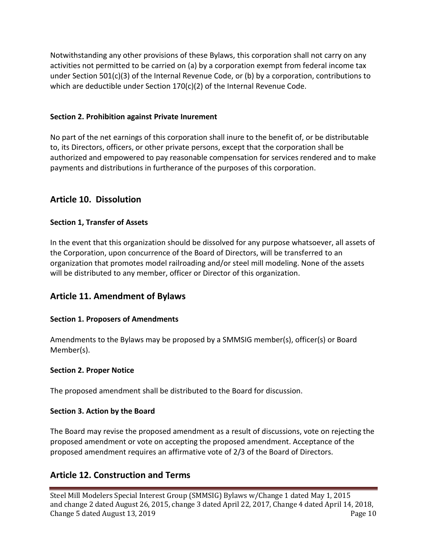Notwithstanding any other provisions of these Bylaws, this corporation shall not carry on any activities not permitted to be carried on (a) by a corporation exempt from federal income tax under Section 501(c)(3) of the Internal Revenue Code, or (b) by a corporation, contributions to which are deductible under Section 170(c)(2) of the Internal Revenue Code.

#### **Section 2. Prohibition against Private Inurement**

No part of the net earnings of this corporation shall inure to the benefit of, or be distributable to, its Directors, officers, or other private persons, except that the corporation shall be authorized and empowered to pay reasonable compensation for services rendered and to make payments and distributions in furtherance of the purposes of this corporation.

### **Article 10. Dissolution**

#### **Section 1, Transfer of Assets**

In the event that this organization should be dissolved for any purpose whatsoever, all assets of the Corporation, upon concurrence of the Board of Directors, will be transferred to an organization that promotes model railroading and/or steel mill modeling. None of the assets will be distributed to any member, officer or Director of this organization.

### **Article 11. Amendment of Bylaws**

#### **Section 1. Proposers of Amendments**

Amendments to the Bylaws may be proposed by a SMMSIG member(s), officer(s) or Board Member(s).

#### **Section 2. Proper Notice**

The proposed amendment shall be distributed to the Board for discussion.

#### **Section 3. Action by the Board**

The Board may revise the proposed amendment as a result of discussions, vote on rejecting the proposed amendment or vote on accepting the proposed amendment. Acceptance of the proposed amendment requires an affirmative vote of 2/3 of the Board of Directors.

### **Article 12. Construction and Terms**

Steel Mill Modelers Special Interest Group (SMMSIG) Bylaws w/Change 1 dated May 1, 2015 and change 2 dated August 26, 2015, change 3 dated April 22, 2017, Change 4 dated April 14, 2018, Change 5 dated August 13, 2019 **Page 10 Page 10**